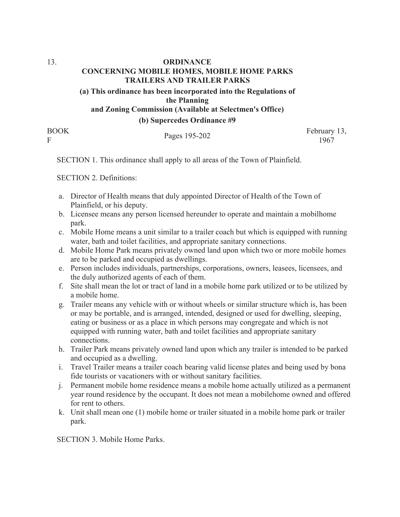## 13. **ORDINANCE CONCERNING MOBILE HOMES, MOBILE HOME PARKS TRAILERS AND TRAILER PARKS (a) This ordinance has been incorporated into the Regulations of the Planning and Zoning Commission (Available at Selectmen's Office)**

**(b) Supercedes Ordinance #9**

BOOK

BOOK<br>February 13,<br>F 1967

SECTION 1. This ordinance shall apply to all areas of the Town of Plainfield.

SECTION 2. Definitions:

- a. Director of Health means that duly appointed Director of Health of the Town of Plainfield, or his deputy.
- b. Licensee means any person licensed hereunder to operate and maintain a mobilhome park.
- c. Mobile Home means a unit similar to a trailer coach but which is equipped with running water, bath and toilet facilities, and appropriate sanitary connections.
- d. Mobile Home Park means privately owned land upon which two or more mobile homes are to be parked and occupied as dwellings.
- e. Person includes individuals, partnerships, corporations, owners, leasees, licensees, and the duly authorized agents of each of them.
- f. Site shall mean the lot or tract of land in a mobile home park utilized or to be utilized by a mobile home.
- g. Trailer means any vehicle with or without wheels or similar structure which is, has been or may be portable, and is arranged, intended, designed or used for dwelling, sleeping, eating or business or as a place in which persons may congregate and which is not equipped with running water, bath and toilet facilities and appropriate sanitary connections.
- h. Trailer Park means privately owned land upon which any trailer is intended to be parked and occupied as a dwelling.
- i. Travel Trailer means a trailer coach bearing valid license plates and being used by bona fide tourists or vacationers with or without sanitary facilities.
- j. Permanent mobile home residence means a mobile home actually utilized as a permanent year round residence by the occupant. It does not mean a mobilehome owned and offered for rent to others.
- k. Unit shall mean one (1) mobile home or trailer situated in a mobile home park or trailer park.

SECTION 3. Mobile Home Parks.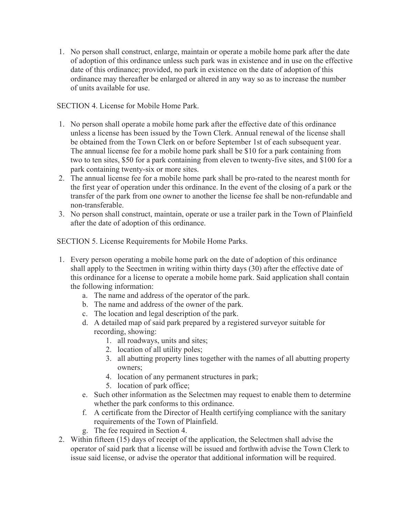1. No person shall construct, enlarge, maintain or operate a mobile home park after the date of adoption of this ordinance unless such park was in existence and in use on the effective date of this ordinance; provided, no park in existence on the date of adoption of this ordinance may thereafter be enlarged or altered in any way so as to increase the number of units available for use.

SECTION 4. License for Mobile Home Park.

- 1. No person shall operate a mobile home park after the effective date of this ordinance unless a license has been issued by the Town Clerk. Annual renewal of the license shall be obtained from the Town Clerk on or before September 1st of each subsequent year. The annual license fee for a mobile home park shall be \$10 for a park containing from two to ten sites, \$50 for a park containing from eleven to twenty-five sites, and \$100 for a park containing twenty-six or more sites.
- 2. The annual license fee for a mobile home park shall be pro-rated to the nearest month for the first year of operation under this ordinance. In the event of the closing of a park or the transfer of the park from one owner to another the license fee shall be non-refundable and non-transferable.
- 3. No person shall construct, maintain, operate or use a trailer park in the Town of Plainfield after the date of adoption of this ordinance.

SECTION 5. License Requirements for Mobile Home Parks.

- 1. Every person operating a mobile home park on the date of adoption of this ordinance shall apply to the Seectmen in writing within thirty days (30) after the effective date of this ordinance for a license to operate a mobile home park. Said application shall contain the following information:
	- a. The name and address of the operator of the park.
	- b. The name and address of the owner of the park.
	- c. The location and legal description of the park.
	- d. A detailed map of said park prepared by a registered surveyor suitable for recording, showing:
		- 1. all roadways, units and sites;
		- 2. location of all utility poles;
		- 3. all abutting property lines together with the names of all abutting property owners;
		- 4. location of any permanent structures in park;
		- 5. location of park office;
	- e. Such other information as the Selectmen may request to enable them to determine whether the park conforms to this ordinance.
	- f. A certificate from the Director of Health certifying compliance with the sanitary requirements of the Town of Plainfield.
	- g. The fee required in Section 4.
- 2. Within fifteen (15) days of receipt of the application, the Selectmen shall advise the operator of said park that a license will be issued and forthwith advise the Town Clerk to issue said license, or advise the operator that additional information will be required.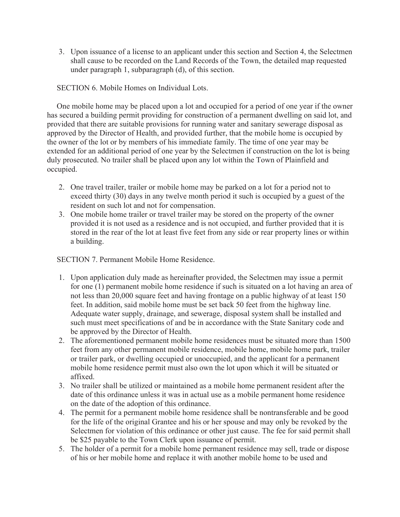3. Upon issuance of a license to an applicant under this section and Section 4, the Selectmen shall cause to be recorded on the Land Records of the Town, the detailed map requested under paragraph 1, subparagraph (d), of this section.

SECTION 6. Mobile Homes on Individual Lots.

 One mobile home may be placed upon a lot and occupied for a period of one year if the owner has secured a building permit providing for construction of a permanent dwelling on said lot, and provided that there are suitable provisions for running water and sanitary sewerage disposal as approved by the Director of Health, and provided further, that the mobile home is occupied by the owner of the lot or by members of his immediate family. The time of one year may be extended for an additional period of one year by the Selectmen if construction on the lot is being duly prosecuted. No trailer shall be placed upon any lot within the Town of Plainfield and occupied.

- 2. One travel trailer, trailer or mobile home may be parked on a lot for a period not to exceed thirty (30) days in any twelve month period it such is occupied by a guest of the resident on such lot and not for compensation.
- 3. One mobile home trailer or travel trailer may be stored on the property of the owner provided it is not used as a residence and is not occupied, and further provided that it is stored in the rear of the lot at least five feet from any side or rear property lines or within a building.

SECTION 7. Permanent Mobile Home Residence.

- 1. Upon application duly made as hereinafter provided, the Selectmen may issue a permit for one (1) permanent mobile home residence if such is situated on a lot having an area of not less than 20,000 square feet and having frontage on a public highway of at least 150 feet. In addition, said mobile home must be set back 50 feet from the highway line. Adequate water supply, drainage, and sewerage, disposal system shall be installed and such must meet specifications of and be in accordance with the State Sanitary code and be approved by the Director of Health.
- 2. The aforementioned permanent mobile home residences must be situated more than 1500 feet from any other permanent mobile residence, mobile home, mobile home park, trailer or trailer park, or dwelling occupied or unoccupied, and the applicant for a permanent mobile home residence permit must also own the lot upon which it will be situated or affixed.
- 3. No trailer shall be utilized or maintained as a mobile home permanent resident after the date of this ordinance unless it was in actual use as a mobile permanent home residence on the date of the adoption of this ordinance.
- 4. The permit for a permanent mobile home residence shall be nontransferable and be good for the life of the original Grantee and his or her spouse and may only be revoked by the Selectmen for violation of this ordinance or other just cause. The fee for said permit shall be \$25 payable to the Town Clerk upon issuance of permit.
- 5. The holder of a permit for a mobile home permanent residence may sell, trade or dispose of his or her mobile home and replace it with another mobile home to be used and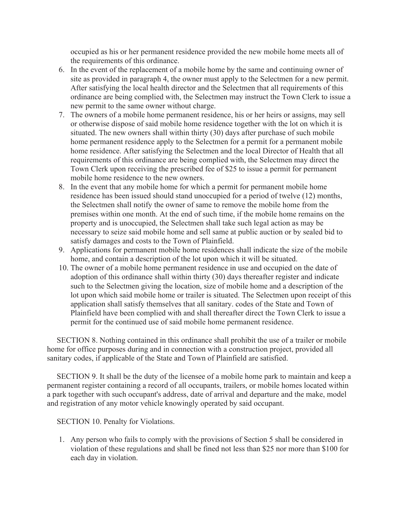occupied as his or her permanent residence provided the new mobile home meets all of the requirements of this ordinance.

- 6. In the event of the replacement of a mobile home by the same and continuing owner of site as provided in paragraph 4, the owner must apply to the Selectmen for a new permit. After satisfying the local health director and the Selectmen that all requirements of this ordinance are being complied with, the Selectmen may instruct the Town Clerk to issue a new permit to the same owner without charge.
- 7. The owners of a mobile home permanent residence, his or her heirs or assigns, may sell or otherwise dispose of said mobile home residence together with the lot on which it is situated. The new owners shall within thirty (30) days after purchase of such mobile home permanent residence apply to the Selectmen for a permit for a permanent mobile home residence. After satisfying the Selectmen and the local Director of Health that all requirements of this ordinance are being complied with, the Selectmen may direct the Town Clerk upon receiving the prescribed fee of \$25 to issue a permit for permanent mobile home residence to the new owners.
- 8. In the event that any mobile home for which a permit for permanent mobile home residence has been issued should stand unoccupied for a period of twelve (12) months, the Selectmen shall notify the owner of same to remove the mobile home from the premises within one month. At the end of such time, if the mobile home remains on the property and is unoccupied, the Selectmen shall take such legal action as may be necessary to seize said mobile home and sell same at public auction or by sealed bid to satisfy damages and costs to the Town of Plainfield.
- 9. Applications for permanent mobile home residences shall indicate the size of the mobile home, and contain a description of the lot upon which it will be situated.
- 10. The owner of a mobile home permanent residence in use and occupied on the date of adoption of this ordinance shall within thirty (30) days thereafter register and indicate such to the Selectmen giving the location, size of mobile home and a description of the lot upon which said mobile home or trailer is situated. The Selectmen upon receipt of this application shall satisfy themselves that all sanitary. codes of the State and Town of Plainfield have been complied with and shall thereafter direct the Town Clerk to issue a permit for the continued use of said mobile home permanent residence.

 SECTION 8. Nothing contained in this ordinance shall prohibit the use of a trailer or mobile home for office purposes during and in connection with a construction project, provided all sanitary codes, if applicable of the State and Town of Plainfield are satisfied.

 SECTION 9. It shall be the duty of the licensee of a mobile home park to maintain and keep a permanent register containing a record of all occupants, trailers, or mobile homes located within a park together with such occupant's address, date of arrival and departure and the make, model and registration of any motor vehicle knowingly operated by said occupant.

SECTION 10. Penalty for Violations.

1. Any person who fails to comply with the provisions of Section 5 shall be considered in violation of these regulations and shall be fined not less than \$25 nor more than \$100 for each day in violation.